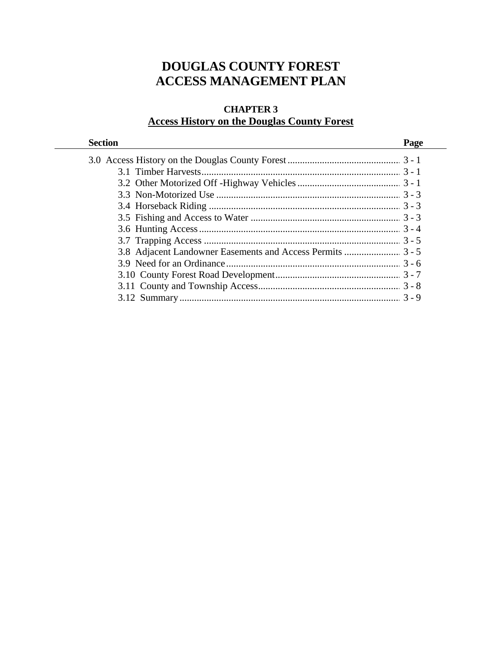# **DOUGLAS COUNTY FOREST ACCESS MANAGEMENT PLAN**

## **CHAPTER 3 Access History on the Douglas County Forest**

| <b>Section</b> | Page |
|----------------|------|
|                |      |
|                |      |
|                |      |
|                |      |
|                |      |
|                |      |
|                |      |
|                |      |
|                |      |
|                |      |
|                |      |
|                |      |
|                |      |
|                |      |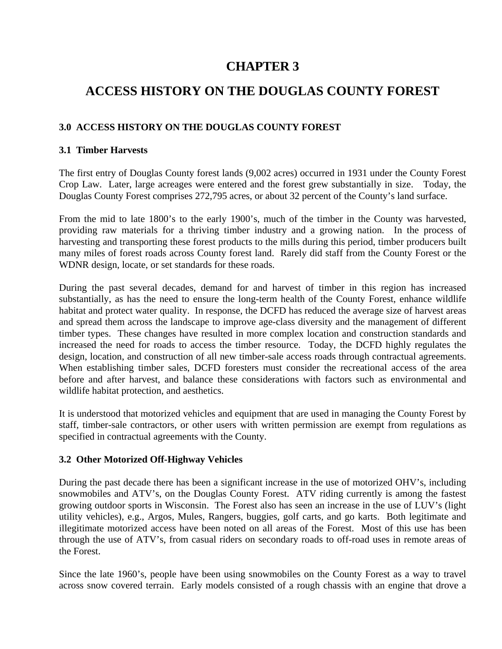## **CHAPTER 3**

# **ACCESS HISTORY ON THE DOUGLAS COUNTY FOREST**

## **3.0 ACCESS HISTORY ON THE DOUGLAS COUNTY FOREST**

## **3.1 Timber Harvests**

The first entry of Douglas County forest lands (9,002 acres) occurred in 1931 under the County Forest Crop Law. Later, large acreages were entered and the forest grew substantially in size. Today, the Douglas County Forest comprises 272,795 acres, or about 32 percent of the County's land surface.

From the mid to late 1800's to the early 1900's, much of the timber in the County was harvested, providing raw materials for a thriving timber industry and a growing nation. In the process of harvesting and transporting these forest products to the mills during this period, timber producers built many miles of forest roads across County forest land. Rarely did staff from the County Forest or the WDNR design, locate, or set standards for these roads.

During the past several decades, demand for and harvest of timber in this region has increased substantially, as has the need to ensure the long-term health of the County Forest, enhance wildlife habitat and protect water quality. In response, the DCFD has reduced the average size of harvest areas and spread them across the landscape to improve age-class diversity and the management of different timber types. These changes have resulted in more complex location and construction standards and increased the need for roads to access the timber resource. Today, the DCFD highly regulates the design, location, and construction of all new timber-sale access roads through contractual agreements. When establishing timber sales, DCFD foresters must consider the recreational access of the area before and after harvest, and balance these considerations with factors such as environmental and wildlife habitat protection, and aesthetics.

It is understood that motorized vehicles and equipment that are used in managing the County Forest by staff, timber-sale contractors, or other users with written permission are exempt from regulations as specified in contractual agreements with the County.

## **3.2 Other Motorized Off-Highway Vehicles**

During the past decade there has been a significant increase in the use of motorized OHV's, including snowmobiles and ATV's, on the Douglas County Forest. ATV riding currently is among the fastest growing outdoor sports in Wisconsin. The Forest also has seen an increase in the use of LUV's (light utility vehicles), e.g., Argos, Mules, Rangers, buggies, golf carts, and go karts. Both legitimate and illegitimate motorized access have been noted on all areas of the Forest. Most of this use has been through the use of ATV's, from casual riders on secondary roads to off-road uses in remote areas of the Forest.

Since the late 1960's, people have been using snowmobiles on the County Forest as a way to travel across snow covered terrain. Early models consisted of a rough chassis with an engine that drove a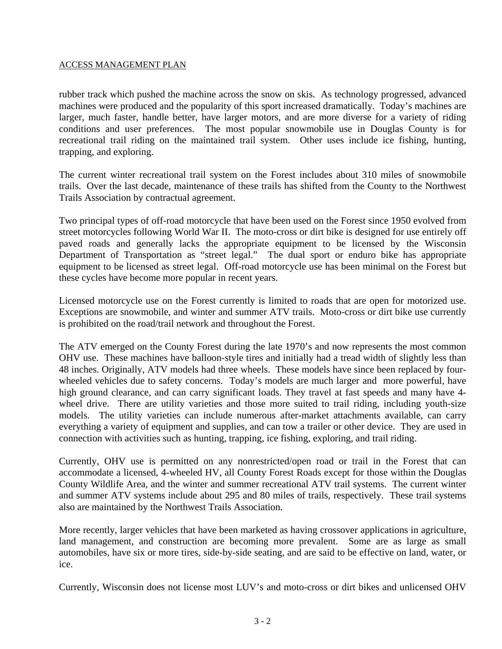rubber track which pushed the machine across the snow on skis. As technology progressed, advanced machines were produced and the popularity of this sport increased dramatically. Today's machines are larger, much faster, handle better, have larger motors, and are more diverse for a variety of riding conditions and user preferences. The most popular snowmobile use in Douglas County is for recreational trail riding on the maintained trail system. Other uses include ice fishing, hunting, trapping, and exploring.

The current winter recreational trail system on the Forest includes about 310 miles of snowmobile trails. Over the last decade, maintenance of these trails has shifted from the County to the Northwest Trails Association by contractual agreement.

Two principal types of off-road motorcycle that have been used on the Forest since 1950 evolved from street motorcycles following World War II. The moto-cross or dirt bike is designed for use entirely off paved roads and generally lacks the appropriate equipment to be licensed by the Wisconsin Department of Transportation as "street legal." The dual sport or enduro bike has appropriate equipment to be licensed as street legal. Off-road motorcycle use has been minimal on the Forest but these cycles have become more popular in recent years.

Licensed motorcycle use on the Forest currently is limited to roads that are open for motorized use. Exceptions are snowmobile, and winter and summer ATV trails. Moto-cross or dirt bike use currently is prohibited on the road/trail network and throughout the Forest.

The ATV emerged on the County Forest during the late 1970's and now represents the most common OHV use. These machines have balloon-style tires and initially had a tread width of slightly less than 48 inches. Originally, ATV models had three wheels. These models have since been replaced by fourwheeled vehicles due to safety concerns. Today's models are much larger and more powerful, have high ground clearance, and can carry significant loads. They travel at fast speeds and many have 4 wheel drive. There are utility varieties and those more suited to trail riding, including youth-size models. The utility varieties can include numerous after-market attachments available, can carry everything a variety of equipment and supplies, and can tow a trailer or other device. They are used in connection with activities such as hunting, trapping, ice fishing, exploring, and trail riding.

Currently, OHV use is permitted on any nonrestricted/open road or trail in the Forest that can accommodate a licensed, 4-wheeled HV, all County Forest Roads except for those within the Douglas County Wildlife Area, and the winter and summer recreational ATV trail systems. The current winter and summer ATV systems include about 295 and 80 miles of trails, respectively. These trail systems also are maintained by the Northwest Trails Association.

More recently, larger vehicles that have been marketed as having crossover applications in agriculture, land management, and construction are becoming more prevalent. Some are as large as small automobiles, have six or more tires, side-by-side seating, and are said to be effective on land, water, or ice.

Currently, Wisconsin does not license most LUV's and moto-cross or dirt bikes and unlicensed OHV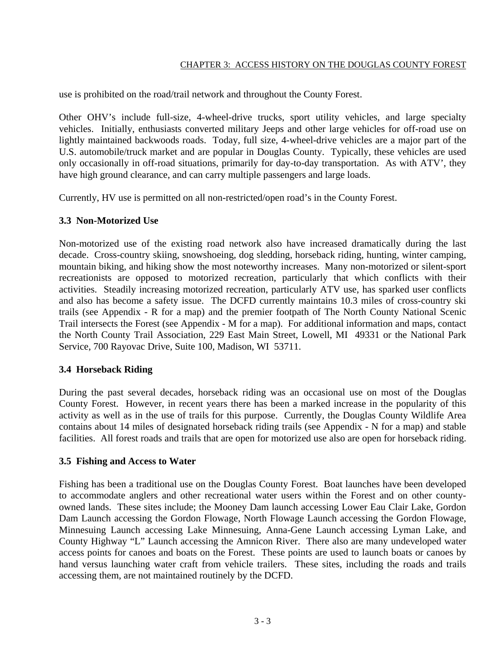## CHAPTER 3: ACCESS HISTORY ON THE DOUGLAS COUNTY FOREST

use is prohibited on the road/trail network and throughout the County Forest.

Other OHV's include full-size, 4-wheel-drive trucks, sport utility vehicles, and large specialty vehicles. Initially, enthusiasts converted military Jeeps and other large vehicles for off-road use on lightly maintained backwoods roads. Today, full size, 4-wheel-drive vehicles are a major part of the U.S. automobile/truck market and are popular in Douglas County. Typically, these vehicles are used only occasionally in off-road situations, primarily for day-to-day transportation. As with ATV', they have high ground clearance, and can carry multiple passengers and large loads.

Currently, HV use is permitted on all non-restricted/open road's in the County Forest.

## **3.3 Non-Motorized Use**

Non-motorized use of the existing road network also have increased dramatically during the last decade. Cross-country skiing, snowshoeing, dog sledding, horseback riding, hunting, winter camping, mountain biking, and hiking show the most noteworthy increases. Many non-motorized or silent-sport recreationists are opposed to motorized recreation, particularly that which conflicts with their activities. Steadily increasing motorized recreation, particularly ATV use, has sparked user conflicts and also has become a safety issue. The DCFD currently maintains 10.3 miles of cross-country ski trails (see Appendix - R for a map) and the premier footpath of The North County National Scenic Trail intersects the Forest (see Appendix - M for a map). For additional information and maps, contact the North County Trail Association, 229 East Main Street, Lowell, MI 49331 or the National Park Service, 700 Rayovac Drive, Suite 100, Madison, WI 53711.

## **3.4 Horseback Riding**

During the past several decades, horseback riding was an occasional use on most of the Douglas County Forest. However, in recent years there has been a marked increase in the popularity of this activity as well as in the use of trails for this purpose. Currently, the Douglas County Wildlife Area contains about 14 miles of designated horseback riding trails (see Appendix - N for a map) and stable facilities. All forest roads and trails that are open for motorized use also are open for horseback riding.

## **3.5 Fishing and Access to Water**

Fishing has been a traditional use on the Douglas County Forest. Boat launches have been developed to accommodate anglers and other recreational water users within the Forest and on other countyowned lands. These sites include; the Mooney Dam launch accessing Lower Eau Clair Lake, Gordon Dam Launch accessing the Gordon Flowage, North Flowage Launch accessing the Gordon Flowage, Minnesuing Launch accessing Lake Minnesuing, Anna-Gene Launch accessing Lyman Lake, and County Highway "L" Launch accessing the Amnicon River. There also are many undeveloped water access points for canoes and boats on the Forest. These points are used to launch boats or canoes by hand versus launching water craft from vehicle trailers. These sites, including the roads and trails accessing them, are not maintained routinely by the DCFD.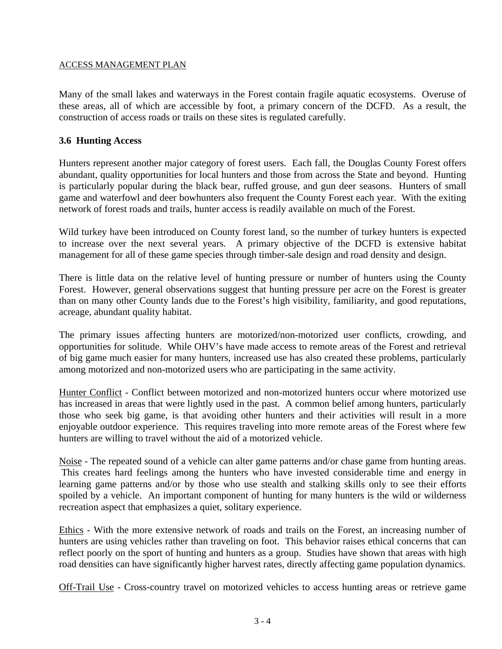Many of the small lakes and waterways in the Forest contain fragile aquatic ecosystems. Overuse of these areas, all of which are accessible by foot, a primary concern of the DCFD. As a result, the construction of access roads or trails on these sites is regulated carefully.

## **3.6 Hunting Access**

Hunters represent another major category of forest users. Each fall, the Douglas County Forest offers abundant, quality opportunities for local hunters and those from across the State and beyond. Hunting is particularly popular during the black bear, ruffed grouse, and gun deer seasons. Hunters of small game and waterfowl and deer bowhunters also frequent the County Forest each year. With the exiting network of forest roads and trails, hunter access is readily available on much of the Forest.

Wild turkey have been introduced on County forest land, so the number of turkey hunters is expected to increase over the next several years. A primary objective of the DCFD is extensive habitat management for all of these game species through timber-sale design and road density and design.

There is little data on the relative level of hunting pressure or number of hunters using the County Forest. However, general observations suggest that hunting pressure per acre on the Forest is greater than on many other County lands due to the Forest's high visibility, familiarity, and good reputations, acreage, abundant quality habitat.

The primary issues affecting hunters are motorized/non-motorized user conflicts, crowding, and opportunities for solitude. While OHV's have made access to remote areas of the Forest and retrieval of big game much easier for many hunters, increased use has also created these problems, particularly among motorized and non-motorized users who are participating in the same activity.

Hunter Conflict - Conflict between motorized and non-motorized hunters occur where motorized use has increased in areas that were lightly used in the past. A common belief among hunters, particularly those who seek big game, is that avoiding other hunters and their activities will result in a more enjoyable outdoor experience. This requires traveling into more remote areas of the Forest where few hunters are willing to travel without the aid of a motorized vehicle.

Noise - The repeated sound of a vehicle can alter game patterns and/or chase game from hunting areas. This creates hard feelings among the hunters who have invested considerable time and energy in learning game patterns and/or by those who use stealth and stalking skills only to see their efforts spoiled by a vehicle. An important component of hunting for many hunters is the wild or wilderness recreation aspect that emphasizes a quiet, solitary experience.

Ethics - With the more extensive network of roads and trails on the Forest, an increasing number of hunters are using vehicles rather than traveling on foot. This behavior raises ethical concerns that can reflect poorly on the sport of hunting and hunters as a group. Studies have shown that areas with high road densities can have significantly higher harvest rates, directly affecting game population dynamics.

Off-Trail Use - Cross-country travel on motorized vehicles to access hunting areas or retrieve game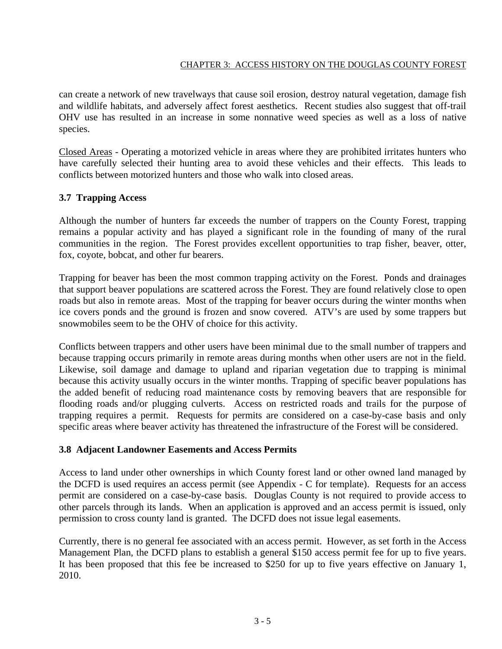## CHAPTER 3: ACCESS HISTORY ON THE DOUGLAS COUNTY FOREST

can create a network of new travelways that cause soil erosion, destroy natural vegetation, damage fish and wildlife habitats, and adversely affect forest aesthetics. Recent studies also suggest that off-trail OHV use has resulted in an increase in some nonnative weed species as well as a loss of native species.

Closed Areas - Operating a motorized vehicle in areas where they are prohibited irritates hunters who have carefully selected their hunting area to avoid these vehicles and their effects. This leads to conflicts between motorized hunters and those who walk into closed areas.

## **3.7 Trapping Access**

Although the number of hunters far exceeds the number of trappers on the County Forest, trapping remains a popular activity and has played a significant role in the founding of many of the rural communities in the region. The Forest provides excellent opportunities to trap fisher, beaver, otter, fox, coyote, bobcat, and other fur bearers.

Trapping for beaver has been the most common trapping activity on the Forest. Ponds and drainages that support beaver populations are scattered across the Forest. They are found relatively close to open roads but also in remote areas. Most of the trapping for beaver occurs during the winter months when ice covers ponds and the ground is frozen and snow covered. ATV's are used by some trappers but snowmobiles seem to be the OHV of choice for this activity.

Conflicts between trappers and other users have been minimal due to the small number of trappers and because trapping occurs primarily in remote areas during months when other users are not in the field. Likewise, soil damage and damage to upland and riparian vegetation due to trapping is minimal because this activity usually occurs in the winter months. Trapping of specific beaver populations has the added benefit of reducing road maintenance costs by removing beavers that are responsible for flooding roads and/or plugging culverts. Access on restricted roads and trails for the purpose of trapping requires a permit. Requests for permits are considered on a case-by-case basis and only specific areas where beaver activity has threatened the infrastructure of the Forest will be considered.

## **3.8 Adjacent Landowner Easements and Access Permits**

Access to land under other ownerships in which County forest land or other owned land managed by the DCFD is used requires an access permit (see Appendix - C for template). Requests for an access permit are considered on a case-by-case basis. Douglas County is not required to provide access to other parcels through its lands. When an application is approved and an access permit is issued, only permission to cross county land is granted. The DCFD does not issue legal easements.

Currently, there is no general fee associated with an access permit. However, as set forth in the Access Management Plan, the DCFD plans to establish a general \$150 access permit fee for up to five years. It has been proposed that this fee be increased to \$250 for up to five years effective on January 1, 2010.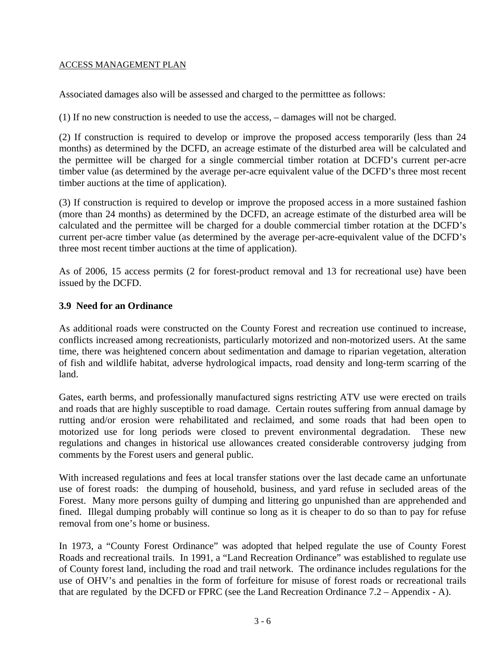Associated damages also will be assessed and charged to the permitttee as follows:

(1) If no new construction is needed to use the access, – damages will not be charged.

(2) If construction is required to develop or improve the proposed access temporarily (less than 24 months) as determined by the DCFD, an acreage estimate of the disturbed area will be calculated and the permittee will be charged for a single commercial timber rotation at DCFD's current per-acre timber value (as determined by the average per-acre equivalent value of the DCFD's three most recent timber auctions at the time of application).

(3) If construction is required to develop or improve the proposed access in a more sustained fashion (more than 24 months) as determined by the DCFD, an acreage estimate of the disturbed area will be calculated and the permittee will be charged for a double commercial timber rotation at the DCFD's current per-acre timber value (as determined by the average per-acre-equivalent value of the DCFD's three most recent timber auctions at the time of application).

As of 2006, 15 access permits (2 for forest-product removal and 13 for recreational use) have been issued by the DCFD.

## **3.9 Need for an Ordinance**

As additional roads were constructed on the County Forest and recreation use continued to increase, conflicts increased among recreationists, particularly motorized and non-motorized users. At the same time, there was heightened concern about sedimentation and damage to riparian vegetation, alteration of fish and wildlife habitat, adverse hydrological impacts, road density and long-term scarring of the land.

Gates, earth berms, and professionally manufactured signs restricting ATV use were erected on trails and roads that are highly susceptible to road damage. Certain routes suffering from annual damage by rutting and/or erosion were rehabilitated and reclaimed, and some roads that had been open to motorized use for long periods were closed to prevent environmental degradation. These new regulations and changes in historical use allowances created considerable controversy judging from comments by the Forest users and general public.

With increased regulations and fees at local transfer stations over the last decade came an unfortunate use of forest roads: the dumping of household, business, and yard refuse in secluded areas of the Forest. Many more persons guilty of dumping and littering go unpunished than are apprehended and fined. Illegal dumping probably will continue so long as it is cheaper to do so than to pay for refuse removal from one's home or business.

In 1973, a "County Forest Ordinance" was adopted that helped regulate the use of County Forest Roads and recreational trails. In 1991, a "Land Recreation Ordinance" was established to regulate use of County forest land, including the road and trail network. The ordinance includes regulations for the use of OHV's and penalties in the form of forfeiture for misuse of forest roads or recreational trails that are regulated by the DCFD or FPRC (see the Land Recreation Ordinance 7.2 – Appendix - A).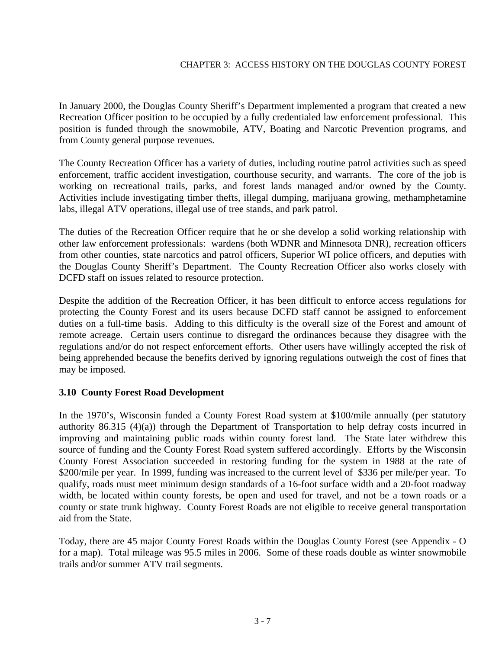In January 2000, the Douglas County Sheriff's Department implemented a program that created a new Recreation Officer position to be occupied by a fully credentialed law enforcement professional. This position is funded through the snowmobile, ATV, Boating and Narcotic Prevention programs, and from County general purpose revenues.

The County Recreation Officer has a variety of duties, including routine patrol activities such as speed enforcement, traffic accident investigation, courthouse security, and warrants. The core of the job is working on recreational trails, parks, and forest lands managed and/or owned by the County. Activities include investigating timber thefts, illegal dumping, marijuana growing, methamphetamine labs, illegal ATV operations, illegal use of tree stands, and park patrol.

The duties of the Recreation Officer require that he or she develop a solid working relationship with other law enforcement professionals: wardens (both WDNR and Minnesota DNR), recreation officers from other counties, state narcotics and patrol officers, Superior WI police officers, and deputies with the Douglas County Sheriff's Department. The County Recreation Officer also works closely with DCFD staff on issues related to resource protection.

Despite the addition of the Recreation Officer, it has been difficult to enforce access regulations for protecting the County Forest and its users because DCFD staff cannot be assigned to enforcement duties on a full-time basis. Adding to this difficulty is the overall size of the Forest and amount of remote acreage. Certain users continue to disregard the ordinances because they disagree with the regulations and/or do not respect enforcement efforts. Other users have willingly accepted the risk of being apprehended because the benefits derived by ignoring regulations outweigh the cost of fines that may be imposed.

## **3.10 County Forest Road Development**

In the 1970's, Wisconsin funded a County Forest Road system at \$100/mile annually (per statutory authority 86.315 (4)(a)) through the Department of Transportation to help defray costs incurred in improving and maintaining public roads within county forest land. The State later withdrew this source of funding and the County Forest Road system suffered accordingly. Efforts by the Wisconsin County Forest Association succeeded in restoring funding for the system in 1988 at the rate of \$200/mile per year. In 1999, funding was increased to the current level of \$336 per mile/per year. To qualify, roads must meet minimum design standards of a 16-foot surface width and a 20-foot roadway width, be located within county forests, be open and used for travel, and not be a town roads or a county or state trunk highway. County Forest Roads are not eligible to receive general transportation aid from the State.

Today, there are 45 major County Forest Roads within the Douglas County Forest (see Appendix - O for a map). Total mileage was 95.5 miles in 2006. Some of these roads double as winter snowmobile trails and/or summer ATV trail segments.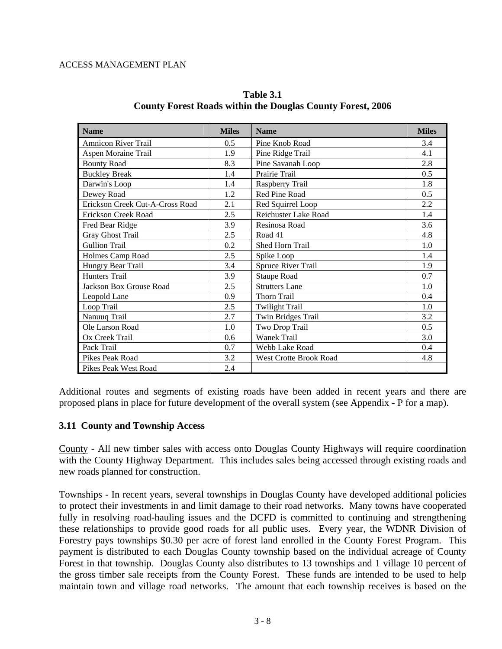| <b>Name</b>                     | <b>Miles</b> | <b>Name</b>            | <b>Miles</b> |
|---------------------------------|--------------|------------------------|--------------|
| <b>Amnicon River Trail</b>      | 0.5          | Pine Knob Road         | 3.4          |
| Aspen Moraine Trail             | 1.9          | Pine Ridge Trail       | 4.1          |
| <b>Bounty Road</b>              | 8.3          | Pine Savanah Loop      | 2.8          |
| <b>Buckley Break</b>            | 1.4          | Prairie Trail          | 0.5          |
| Darwin's Loop                   | 1.4          | Raspberry Trail        | 1.8          |
| Dewey Road                      | 1.2          | Red Pine Road          | 0.5          |
| Erickson Creek Cut-A-Cross Road | 2.1          | Red Squirrel Loop      | 2.2          |
| Erickson Creek Road             | 2.5          | Reichuster Lake Road   | 1.4          |
| Fred Bear Ridge                 | 3.9          | Resinosa Road          | 3.6          |
| Gray Ghost Trail                | 2.5          | Road 41                | 4.8          |
| <b>Gullion Trail</b>            | 0.2          | Shed Horn Trail        | 1.0          |
| Holmes Camp Road                | 2.5          | Spike Loop             | 1.4          |
| Hungry Bear Trail               | 3.4          | Spruce River Trail     | 1.9          |
| <b>Hunters Trail</b>            | 3.9          | <b>Staupe Road</b>     | 0.7          |
| Jackson Box Grouse Road         | 2.5          | <b>Strutters Lane</b>  | 1.0          |
| Leopold Lane                    | 0.9          | Thorn Trail            | 0.4          |
| Loop Trail                      | 2.5          | <b>Twilight Trail</b>  | 1.0          |
| Nanuuq Trail                    | 2.7          | Twin Bridges Trail     | 3.2          |
| Ole Larson Road                 | 1.0          | Two Drop Trail         | 0.5          |
| Ox Creek Trail                  | 0.6          | Wanek Trail            | 3.0          |
| Pack Trail                      | 0.7          | Webb Lake Road         | 0.4          |
| Pikes Peak Road                 | 3.2          | West Crotte Brook Road | 4.8          |
| Pikes Peak West Road            | 2.4          |                        |              |

**Table 3.1 County Forest Roads within the Douglas County Forest, 2006** 

Additional routes and segments of existing roads have been added in recent years and there are proposed plans in place for future development of the overall system (see Appendix - P for a map).

## **3.11 County and Township Access**

County - All new timber sales with access onto Douglas County Highways will require coordination with the County Highway Department. This includes sales being accessed through existing roads and new roads planned for construction.

Townships - In recent years, several townships in Douglas County have developed additional policies to protect their investments in and limit damage to their road networks. Many towns have cooperated fully in resolving road-hauling issues and the DCFD is committed to continuing and strengthening these relationships to provide good roads for all public uses. Every year, the WDNR Division of Forestry pays townships \$0.30 per acre of forest land enrolled in the County Forest Program. This payment is distributed to each Douglas County township based on the individual acreage of County Forest in that township. Douglas County also distributes to 13 townships and 1 village 10 percent of the gross timber sale receipts from the County Forest. These funds are intended to be used to help maintain town and village road networks. The amount that each township receives is based on the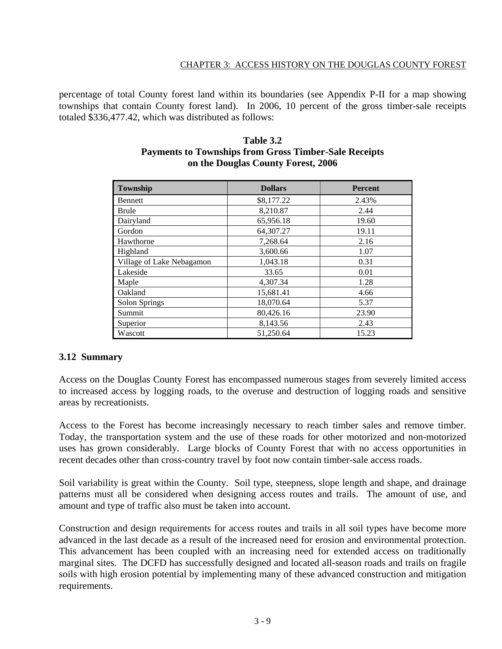#### CHAPTER 3: ACCESS HISTORY ON THE DOUGLAS COUNTY FOREST

percentage of total County forest land within its boundaries (see Appendix P-II for a map showing townships that contain County forest land). In 2006, 10 percent of the gross timber-sale receipts totaled \$336,477.42, which was distributed as follows:

| <b>Township</b>           | <b>Dollars</b> | <b>Percent</b> |  |
|---------------------------|----------------|----------------|--|
| Bennett                   | \$8,177.22     | 2.43%          |  |
| Brule                     | 8,210.87       | 2.44           |  |
| Dairyland                 | 65,956.18      | 19.60          |  |
| Gordon                    | 64,307.27      | 19.11          |  |
| Hawthorne                 | 7,268.64       | 2.16           |  |
| Highland                  | 3,600.66       | 1.07           |  |
| Village of Lake Nebagamon | 1,043.18       | 0.31           |  |
| Lakeside                  | 33.65          | 0.01           |  |
| Maple                     | 4,307.34       | 1.28           |  |
| Oakland                   | 15,681.41      | 4.66           |  |
| Solon Springs             | 18,070.64      | 5.37           |  |
| Summit                    | 80,426.16      | 23.90          |  |
| Superior                  | 8,143.56       | 2.43           |  |
| Wascott                   | 51.250.64      | 15.23          |  |

#### **Table 3.2 Payments to Townships from Gross Timber-Sale Receipts on the Douglas County Forest, 2006**

## **3.12 Summary**

Access on the Douglas County Forest has encompassed numerous stages from severely limited access to increased access by logging roads, to the overuse and destruction of logging roads and sensitive areas by recreationists.

Access to the Forest has become increasingly necessary to reach timber sales and remove timber. Today, the transportation system and the use of these roads for other motorized and non-motorized uses has grown considerably. Large blocks of County Forest that with no access opportunities in recent decades other than cross-country travel by foot now contain timber-sale access roads.

Soil variability is great within the County. Soil type, steepness, slope length and shape, and drainage patterns must all be considered when designing access routes and trails. The amount of use, and amount and type of traffic also must be taken into account.

Construction and design requirements for access routes and trails in all soil types have become more advanced in the last decade as a result of the increased need for erosion and environmental protection. This advancement has been coupled with an increasing need for extended access on traditionally marginal sites. The DCFD has successfully designed and located all-season roads and trails on fragile soils with high erosion potential by implementing many of these advanced construction and mitigation requirements.